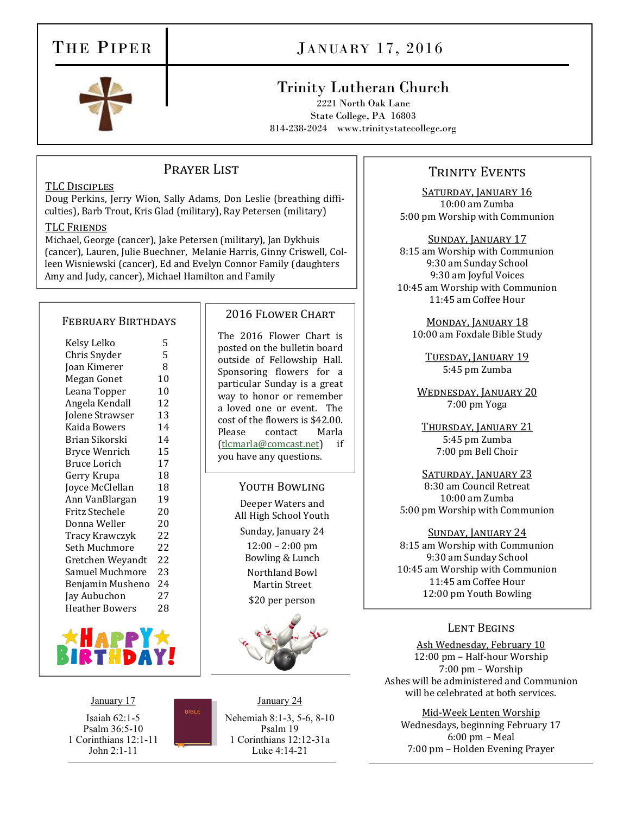# THE PIPER

# JANUARY 17, 2016

# Trinity Lutheran Church

2221 North Oak Lane State College, PA 16803 814-238-2024 www.trinitystatecollege.org

# PRAYER LIST

## TLC Disciples

Doug Perkins, Jerry Wion, Sally Adams, Don Leslie (breathing difficulties), Barb Trout, Kris Glad (military), Ray Petersen (military)

#### TLC Friends

Michael, George (cancer), Jake Petersen (military), Jan Dykhuis (cancer), Lauren, Julie Buechner, Melanie Harris, Ginny Criswell, Colleen Wisniewski (cancer), Ed and Evelyn Connor Family (daughters Amy and Judy, cancer), Michael Hamilton and Family

### February Birthdays

| Kelsy Lelko      | 5  |
|------------------|----|
| Chris Snyder     | 5  |
| Joan Kimerer     | 8  |
| Megan Gonet      | 10 |
| Leana Topper     | 10 |
| Angela Kendall   | 12 |
| Jolene Strawser  | 13 |
| Kaida Bowers     | 14 |
| Brian Sikorski   | 14 |
| Bryce Wenrich    | 15 |
| Bruce Lorich     | 17 |
| Gerry Krupa      | 18 |
| Joyce McClellan  | 18 |
| Ann VanBlargan   | 19 |
| Fritz Stechele   | 20 |
| Donna Weller     | 20 |
| Tracy Krawczyk   | 22 |
| Seth Muchmore    | 22 |
| Gretchen Weyandt | 22 |
| Samuel Muchmore  | 23 |
| Benjamin Musheno | 24 |
| Jay Aubuchon     | 27 |
| Heather Bowers   | 28 |
|                  |    |



January 17 Isaiah 62:1-5 Psalm 36:5-10 1 Corinthians 12:1-11 John 2:1-11

January 24 Nehemiah 8:1-3, 5-6, 8-10 Psalm 19 1 Corinthians 12:12-31a Luke 4:14-21

2016 Flower Chart

The 2016 Flower Chart is posted on the bulletin board outside of Fellowship Hall. Sponsoring flowers for a particular Sunday is a great way to honor or remember a loved one or event. The cost of the flowers is \$42.00. Please contact Marla ([tlcmarla@comcast.net\)](mailto:tlcmarla@comcast.net) if you have any questions.

> YOUTH BOWLING Deeper Waters and All High School Youth Sunday, January 24 12:00 – 2:00 pm Bowling & Lunch Northland Bowl Martin Street \$20 per person

# TRINITY EVENTS

SATURDAY, JANUARY 16 10:00 am Zumba 5:00 pm Worship with Communion

Sunday, January 17 8:15 am Worship with Communion 9:30 am Sunday School 9:30 am Joyful Voices 10:45 am Worship with Communion 11:45 am Coffee Hour

MONDAY, JANUARY 18 10:00 am Foxdale Bible Study

Tuesday, January 19 5:45 pm Zumba

WEDNESDAY, JANUARY 20 7:00 pm Yoga

Thursday, January 21 5:45 pm Zumba 7:00 pm Bell Choir

SATURDAY, JANUARY 23 8:30 am Council Retreat 10:00 am Zumba 5:00 pm Worship with Communion

Sunday, January 24 8:15 am Worship with Communion 9:30 am Sunday School 10:45 am Worship with Communion 11:45 am Coffee Hour 12:00 pm Youth Bowling

# Lent Begins

Ash Wednesday, February 10 12:00 pm – Half-hour Worship 7:00 pm – Worship Ashes will be administered and Communion will be celebrated at both services.

Mid-Week Lenten Worship Wednesdays, beginning February 17 6:00 pm – Meal 7:00 pm – Holden Evening Prayer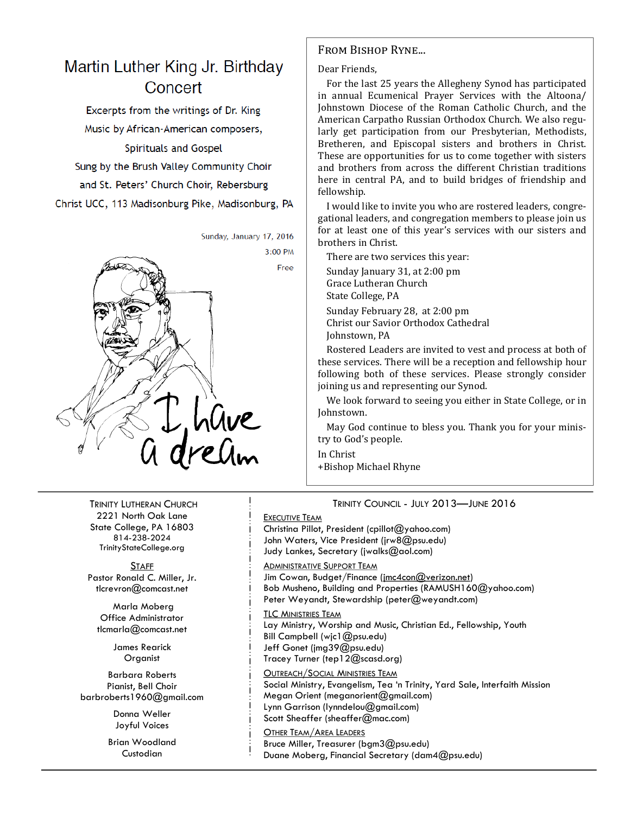# Martin Luther King Jr. Birthday Concert

Excerpts from the writings of Dr. King Music by African-American composers, **Spirituals and Gospel** Sung by the Brush Valley Community Choir and St. Peters' Church Choir, Rebersburg Christ UCC, 113 Madisonburg Pike, Madisonburg, PA



TRINITY LUTHERAN CHURCH 2221 North Oak Lane State College, PA 16803 814-238-2024 TrinityStateCollege.org

**STAFF** Pastor Ronald C. Miller, Jr. tlcrevron@comcast.net

Marla Moberg Office Administrator tlcmarla@comcast.net

> James Rearick **Organist**

Barbara Roberts Pianist, Bell Choir barbroberts1960@gmail.com

> Donna Weller Joyful Voices

Brian Woodland **Custodian** 

# From Bishop Ryne...

#### Dear Friends,

For the last 25 years the Allegheny Synod has participated in annual Ecumenical Prayer Services with the Altoona/ Johnstown Diocese of the Roman Catholic Church, and the American Carpatho Russian Orthodox Church. We also regularly get participation from our Presbyterian, Methodists, Bretheren, and Episcopal sisters and brothers in Christ. These are opportunities for us to come together with sisters and brothers from across the different Christian traditions here in central PA, and to build bridges of friendship and fellowship.

I would like to invite you who are rostered leaders, congregational leaders, and congregation members to please join us for at least one of this year's services with our sisters and brothers in Christ.

There are two services this year:

Sunday January 31, at 2:00 pm Grace Lutheran Church State College, PA

Sunday February 28, at 2:00 pm Christ our Savior Orthodox Cathedral Johnstown, PA

Rostered Leaders are invited to vest and process at both of these services. There will be a reception and fellowship hour following both of these services. Please strongly consider joining us and representing our Synod.

We look forward to seeing you either in State College, or in Johnstown.

May God continue to bless you. Thank you for your ministry to God's people.

In Christ

+Bishop Michael Rhyne

TRINITY COUNCIL - JULY 2013—JUNE 2016 EXECUTIVE TEAM

Christina Pillot, President (cpillot@yahoo.com) John Waters, Vice President (jrw8@psu.edu) Judy Lankes, Secretary (jwalks@aol.com)

**ADMINISTRATIVE SUPPORT TEAM** 

Jim Cowan, Budget/Finance (jmc4con@verizon.net) Bob Musheno, Building and Properties (RAMUSH160@yahoo.com) Peter Weyandt, Stewardship (peter@weyandt.com)

TLC MINISTRIES TEAM Lay Ministry, Worship and Music, Christian Ed., Fellowship, Youth Bill Campbell (wjc1@psu.edu) Jeff Gonet (jmg39@psu.edu) Tracey Turner (tep12@scasd.org)

OUTREACH/SOCIAL MINISTRIES TEAM Social Ministry, Evangelism, Tea 'n Trinity, Yard Sale, Interfaith Mission Megan Orient (meganorient@gmail.com) Lynn Garrison (lynndelou@gmail.com) Scott Sheaffer (sheaffer@mac.com)

OTHER TEAM/AREA LEADERS Bruce Miller, Treasurer (bgm3@psu.edu) Duane Moberg, Financial Secretary (dam4@psu.edu)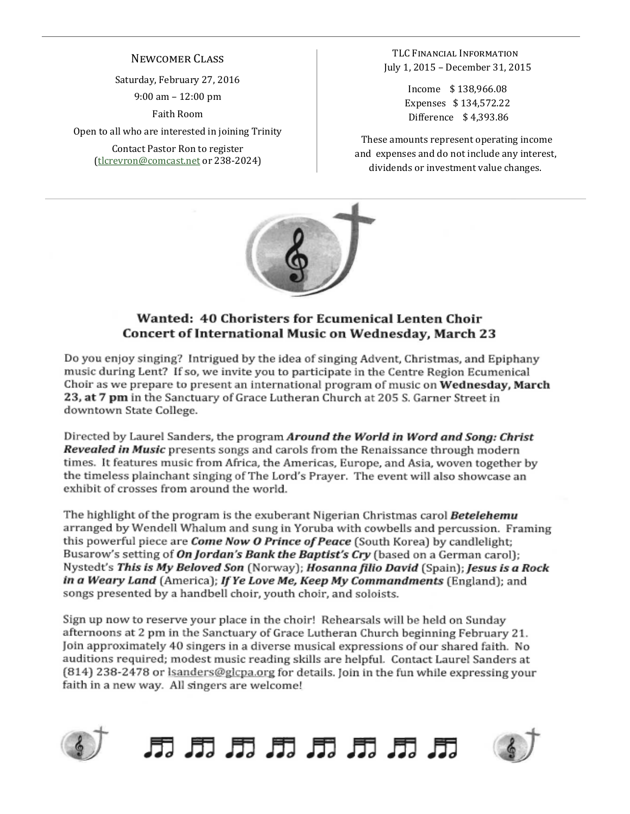# Newcomer Class

Saturday, February 27, 2016 9:00 am – 12:00 pm

Faith Room

Open to all who are interested in joining Trinity

Contact Pastor Ron to register [\(tlcrevron@comcast.net](mailto:tlcrevron@comcast.net) or 238-2024)

TLC Financial Information July 1, 2015 – December 31, 2015

> Income \$ 138,966.08 Expenses \$ 134,572.22 Difference \$ 4,393.86

These amounts represent operating income and expenses and do not include any interest, dividends or investment value changes.



# Wanted: 40 Choristers for Ecumenical Lenten Choir Concert of International Music on Wednesday, March 23

Do you enjoy singing? Intrigued by the idea of singing Advent, Christmas, and Epiphany music during Lent? If so, we invite you to participate in the Centre Region Ecumenical Choir as we prepare to present an international program of music on Wednesday, March 23, at 7 pm in the Sanctuary of Grace Lutheran Church at 205 S. Garner Street in downtown State College.

Directed by Laurel Sanders, the program Around the World in Word and Song: Christ Revealed in Music presents songs and carols from the Renaissance through modern times. It features music from Africa, the Americas, Europe, and Asia, woven together by the timeless plainchant singing of The Lord's Prayer. The event will also showcase an exhibit of crosses from around the world.

The highlight of the program is the exuberant Nigerian Christmas carol Betelehemu arranged by Wendell Whalum and sung in Yoruba with cowbells and percussion. Framing this powerful piece are *Come Now O Prince of Peace* (South Korea) by candlelight; Busarow's setting of On Jordan's Bank the Baptist's Cry (based on a German carol); Nystedt's This is My Beloved Son (Norway); Hosanna filio David (Spain); Jesus is a Rock in a Weary Land (America); If Ye Love Me, Keep My Commandments (England); and songs presented by a handbell choir, youth choir, and soloists.

Sign up now to reserve your place in the choir! Rehearsals will be held on Sunday afternoons at 2 pm in the Sanctuary of Grace Lutheran Church beginning February 21. Join approximately 40 singers in a diverse musical expressions of our shared faith. No auditions required; modest music reading skills are helpful. Contact Laurel Sanders at (814) 238-2478 or lsanders@glcpa.org for details. Join in the fun while expressing your faith in a new way. All singers are welcome!





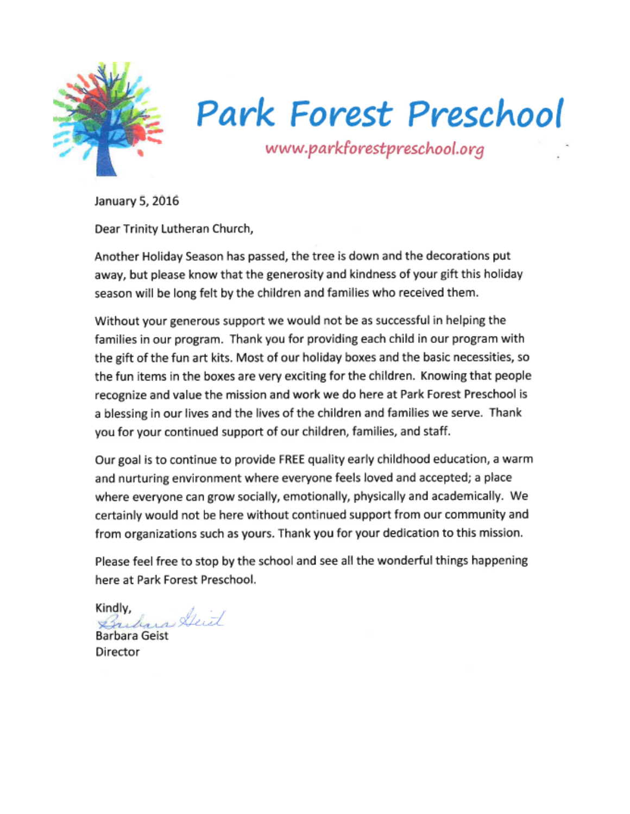

# **Park Forest Preschool**

www.parkforestpreschool.org

January 5, 2016

Dear Trinity Lutheran Church,

Another Holiday Season has passed, the tree is down and the decorations put away, but please know that the generosity and kindness of your gift this holiday season will be long felt by the children and families who received them.

Without your generous support we would not be as successful in helping the families in our program. Thank you for providing each child in our program with the gift of the fun art kits. Most of our holiday boxes and the basic necessities, so the fun items in the boxes are very exciting for the children. Knowing that people recognize and value the mission and work we do here at Park Forest Preschool is a blessing in our lives and the lives of the children and families we serve. Thank you for your continued support of our children, families, and staff.

Our goal is to continue to provide FREE quality early childhood education, a warm and nurturing environment where everyone feels loved and accepted; a place where everyone can grow socially, emotionally, physically and academically. We certainly would not be here without continued support from our community and from organizations such as yours. Thank you for your dedication to this mission.

Please feel free to stop by the school and see all the wonderful things happening here at Park Forest Preschool.

Kindly, Bridges Deit

**Barbara Geist** Director